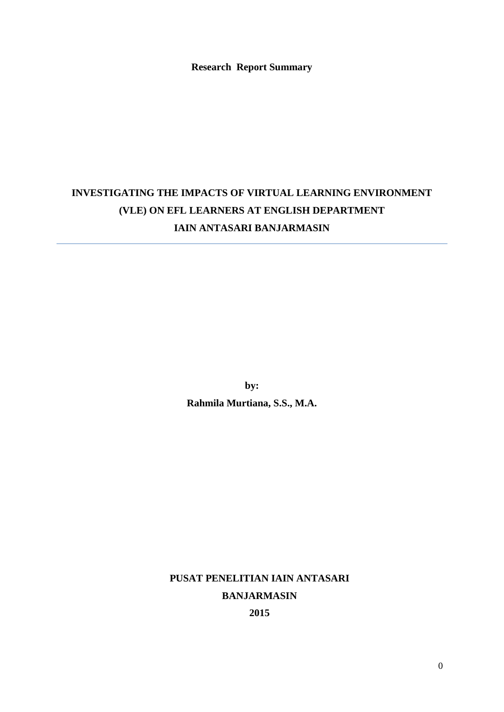**Research Report Summary**

# **INVESTIGATING THE IMPACTS OF VIRTUAL LEARNING ENVIRONMENT (VLE) ON EFL LEARNERS AT ENGLISH DEPARTMENT IAIN ANTASARI BANJARMASIN**

**by:**

**Rahmila Murtiana, S.S., M.A.**

**PUSAT PENELITIAN IAIN ANTASARI BANJARMASIN 2015**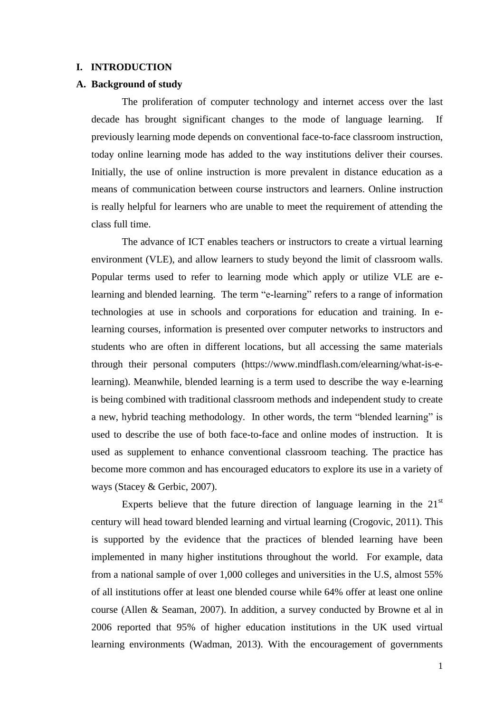#### **I. INTRODUCTION**

#### **A. Background of study**

The proliferation of computer technology and internet access over the last decade has brought significant changes to the mode of language learning. If previously learning mode depends on conventional face-to-face classroom instruction, today online learning mode has added to the way institutions deliver their courses. Initially, the use of online instruction is more prevalent in distance education as a means of communication between course instructors and learners. Online instruction is really helpful for learners who are unable to meet the requirement of attending the class full time.

The advance of ICT enables teachers or instructors to create a virtual learning environment (VLE), and allow learners to study beyond the limit of classroom walls. Popular terms used to refer to learning mode which apply or utilize VLE are elearning and blended learning. The term ["e-learning"](http://www.mindflash.com/elearning) refers to a range of information technologies at use in schools and corporations for education and training. In elearning courses, information is presented over computer networks to instructors and students who are often in different locations, but all accessing the same materials through their personal computers (https://www.mindflash.com/elearning/what-is-elearning). Meanwhile, blended learning is a term used to describe the way [e-learning](https://www.mindflash.com/elearning/what-is-e-learning) is being combined with traditional classroom methods and independent study to create a new, hybrid teaching methodology. In other words, the term "blended learning" is used to describe the use of both face-to-face and online modes of instruction. It is used as supplement to enhance conventional classroom teaching. The practice has become more common and has encouraged educators to explore its use in a variety of ways (Stacey & Gerbic, 2007).

Experts believe that the future direction of language learning in the  $21<sup>st</sup>$ century will head toward blended learning and virtual learning (Crogovic, 2011). This is supported by the evidence that the practices of blended learning have been implemented in many higher institutions throughout the world. For example, data from a national sample of over 1,000 colleges and universities in the U.S, almost 55% of all institutions offer at least one blended course while 64% offer at least one online course (Allen & Seaman, 2007). In addition, a survey conducted by Browne et al in 2006 reported that 95% of higher education institutions in the UK used virtual learning environments (Wadman, 2013). With the encouragement of governments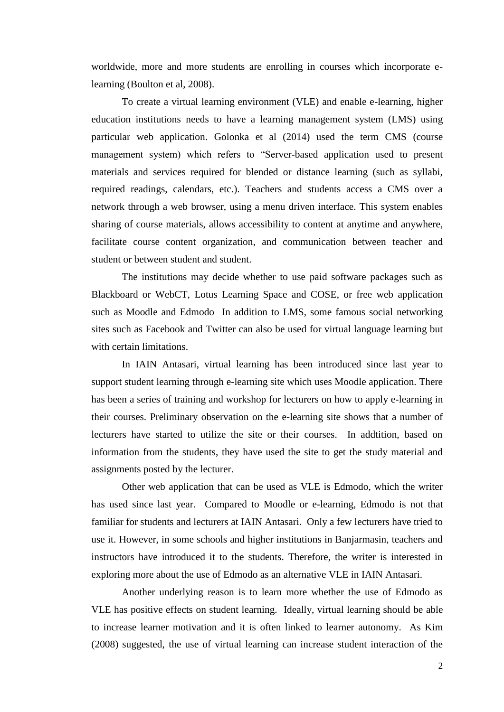worldwide, more and more students are enrolling in courses which incorporate elearning (Boulton et al, 2008).

To create a virtual learning environment (VLE) and enable e-learning, higher education institutions needs to have a learning management system (LMS) using particular web application. Golonka et al (2014) used the term CMS (course management system) which refers to "Server-based application used to present materials and services required for blended or distance learning (such as syllabi, required readings, calendars, etc.). Teachers and students access a CMS over a network through a web browser, using a menu driven interface. This system enables sharing of course materials, allows accessibility to content at anytime and anywhere, facilitate course content organization, and communication between teacher and student or between student and student.

The institutions may decide whether to use paid software packages such as Blackboard or WebCT, Lotus Learning Space and COSE, or free web application such as Moodle and Edmodo In addition to LMS, some famous social networking sites such as Facebook and Twitter can also be used for virtual language learning but with certain limitations.

In IAIN Antasari, virtual learning has been introduced since last year to support student learning through e-learning site which uses Moodle application. There has been a series of training and workshop for lecturers on how to apply e-learning in their courses. Preliminary observation on the e-learning site shows that a number of lecturers have started to utilize the site or their courses. In addtition, based on information from the students, they have used the site to get the study material and assignments posted by the lecturer.

Other web application that can be used as VLE is Edmodo, which the writer has used since last year. Compared to Moodle or e-learning, Edmodo is not that familiar for students and lecturers at IAIN Antasari. Only a few lecturers have tried to use it. However, in some schools and higher institutions in Banjarmasin, teachers and instructors have introduced it to the students. Therefore, the writer is interested in exploring more about the use of Edmodo as an alternative VLE in IAIN Antasari.

Another underlying reason is to learn more whether the use of Edmodo as VLE has positive effects on student learning. Ideally, virtual learning should be able to increase learner motivation and it is often linked to learner autonomy. As Kim (2008) suggested, the use of virtual learning can increase student interaction of the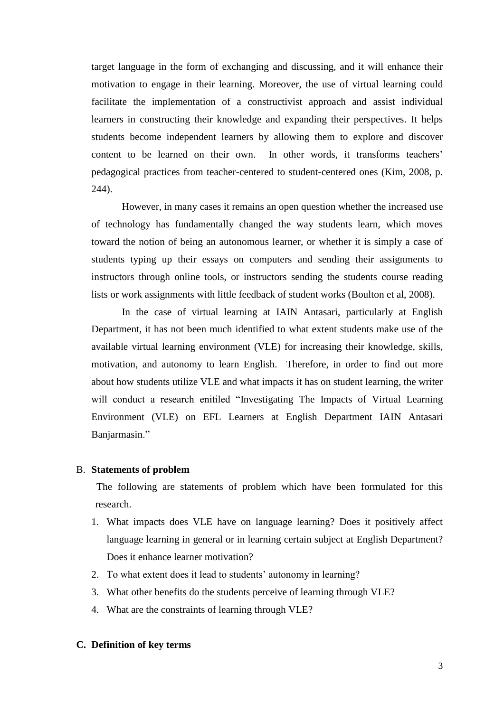target language in the form of exchanging and discussing, and it will enhance their motivation to engage in their learning. Moreover, the use of virtual learning could facilitate the implementation of a constructivist approach and assist individual learners in constructing their knowledge and expanding their perspectives. It helps students become independent learners by allowing them to explore and discover content to be learned on their own. In other words, it transforms teachers' pedagogical practices from teacher-centered to student-centered ones (Kim, 2008, p. 244).

However, in many cases it remains an open question whether the increased use of technology has fundamentally changed the way students learn, which moves toward the notion of being an autonomous learner, or whether it is simply a case of students typing up their essays on computers and sending their assignments to instructors through online tools, or instructors sending the students course reading lists or work assignments with little feedback of student works (Boulton et al, 2008).

In the case of virtual learning at IAIN Antasari, particularly at English Department, it has not been much identified to what extent students make use of the available virtual learning environment (VLE) for increasing their knowledge, skills, motivation, and autonomy to learn English. Therefore, in order to find out more about how students utilize VLE and what impacts it has on student learning, the writer will conduct a research enitiled "Investigating The Impacts of Virtual Learning Environment (VLE) on EFL Learners at English Department IAIN Antasari Banjarmasin."

#### B. **Statements of problem**

The following are statements of problem which have been formulated for this research.

- 1. What impacts does VLE have on language learning? Does it positively affect language learning in general or in learning certain subject at English Department? Does it enhance learner motivation?
- 2. To what extent does it lead to students' autonomy in learning?
- 3. What other benefits do the students perceive of learning through VLE?
- 4. What are the constraints of learning through VLE?

### **C. Definition of key terms**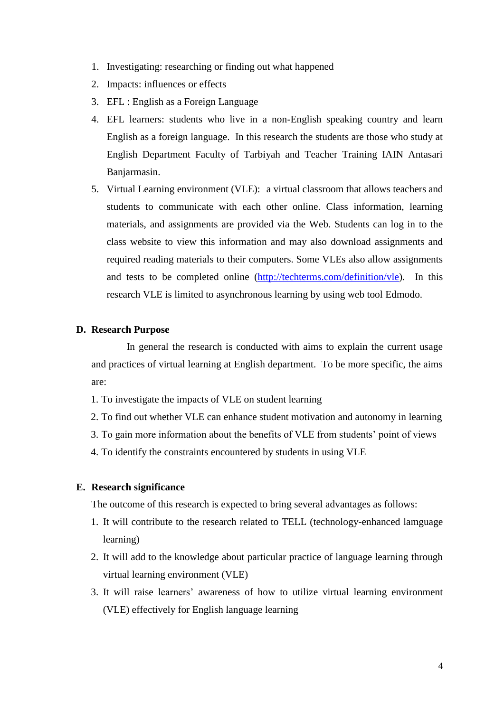- 1. Investigating: researching or finding out what happened
- 2. Impacts: influences or effects
- 3. EFL : English as a Foreign Language
- 4. EFL learners: students who live in a non-English speaking country and learn English as a foreign language. In this research the students are those who study at English Department Faculty of Tarbiyah and Teacher Training IAIN Antasari Banjarmasin.
- 5. Virtual Learning environment (VLE): a virtual classroom that allows teachers and students to communicate with each other online. Class information, learning materials, and assignments are provided via the Web. Students can log in to the class [website](http://techterms.com/definition/website) to view this information and may also [download](http://techterms.com/definition/download) assignments and required reading materials to their computers. Some VLEs also allow assignments and tests to be completed online [\(http://techterms.com/definition/vle\)](http://techterms.com/definition/vle). In this research VLE is limited to asynchronous learning by using web tool Edmodo.

#### **D. Research Purpose**

In general the research is conducted with aims to explain the current usage and practices of virtual learning at English department. To be more specific, the aims are:

- 1. To investigate the impacts of VLE on student learning
- 2. To find out whether VLE can enhance student motivation and autonomy in learning
- 3. To gain more information about the benefits of VLE from students" point of views
- 4. To identify the constraints encountered by students in using VLE

## **E. Research significance**

The outcome of this research is expected to bring several advantages as follows:

- 1. It will contribute to the research related to TELL (technology-enhanced lamguage learning)
- 2. It will add to the knowledge about particular practice of language learning through virtual learning environment (VLE)
- 3. It will raise learners" awareness of how to utilize virtual learning environment (VLE) effectively for English language learning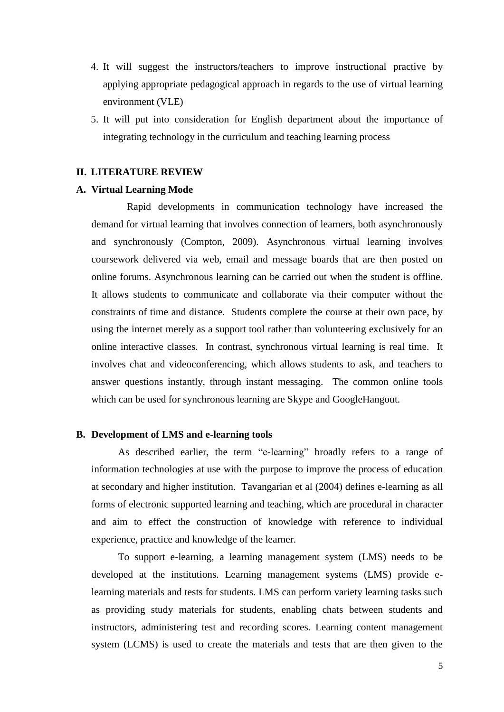- 4. It will suggest the instructors/teachers to improve instructional practive by applying appropriate pedagogical approach in regards to the use of virtual learning environment (VLE)
- 5. It will put into consideration for English department about the importance of integrating technology in the curriculum and teaching learning process

## **II. LITERATURE REVIEW**

## **A. Virtual Learning Mode**

Rapid developments in communication technology have increased the demand for virtual learning that involves connection of learners, both asynchronously and synchronously (Compton, 2009). Asynchronous virtual learning involves coursework delivered via web, email and message boards that are then posted on online forums. Asynchronous learning can be carried out when the student is offline. It allows students to communicate and collaborate via their computer without the constraints of time and distance. Students complete the course at their own pace, by using the internet merely as a support tool rather than volunteering exclusively for an online interactive classes. In contrast, synchronous virtual learning is real time. It involves chat and videoconferencing, which allows students to ask, and teachers to answer questions instantly, through instant messaging. The common online tools which can be used for synchronous learning are Skype and GoogleHangout.

## **B. Development of LMS and e-learning tools**

As described earlier, the term ["e-learning"](http://www.mindflash.com/elearning) broadly refers to a range of information technologies at use with the purpose to improve the process of education at secondary and higher institution. Tavangarian et al (2004) defines e-learning as all forms of electronic supported learning and teaching, which are procedural in character and aim to effect the construction of knowledge with reference to individual experience, practice and knowledge of the learner.

To support e-learning, a learning management system (LMS) needs to be developed at the institutions. Learning management systems (LMS) provide elearning materials and tests for students. LMS can perform variety learning tasks such as providing study materials for students, enabling chats between students and instructors, administering test and recording scores. Learning content management system (LCMS) is used to create the materials and tests that are then given to the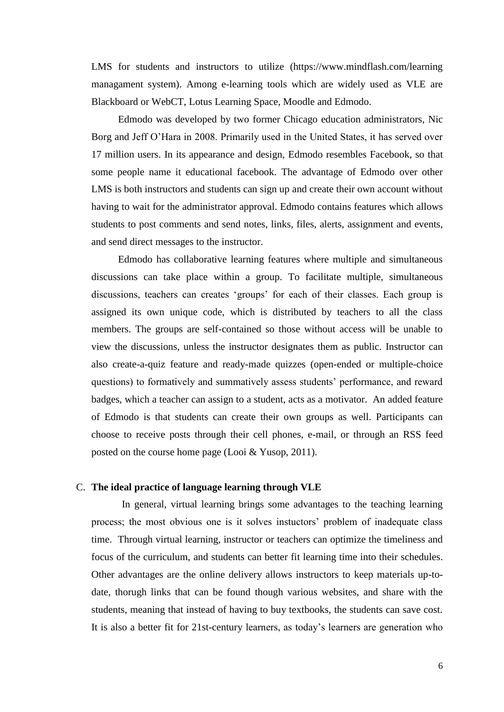LMS for students and instructors to utilize (https://www.mindflash.com/learning managament system). Among e-learning tools which are widely used as VLE are Blackboard or WebCT, Lotus Learning Space, Moodle and Edmodo.

Edmodo was developed by two former Chicago education administrators, Nic Borg and Jeff O"Hara in 2008. Primarily used in the United States, it has served over 17 million users. In its appearance and design, Edmodo resembles Facebook, so that some people name it educational facebook. The advantage of Edmodo over other LMS is both instructors and students can sign up and create their own account without having to wait for the administrator approval. Edmodo contains features which allows students to post comments and send notes, links, files, alerts, assignment and events, and send direct messages to the instructor.

Edmodo has collaborative learning features where multiple and simultaneous discussions can take place within a group. To facilitate multiple, simultaneous discussions, teachers can creates "groups" for each of their classes. Each group is assigned its own unique code, which is distributed by teachers to all the class members. The groups are self-contained so those without access will be unable to view the discussions, unless the instructor designates them as public. Instructor can also create-a-quiz feature and ready-made quizzes (open-ended or multiple-choice questions) to formatively and summatively assess students" performance, and reward badges, which a teacher can assign to a student, acts as a motivator. An added feature of Edmodo is that students can create their own groups as well. Participants can choose to receive posts through their cell phones, e-mail, or through an RSS feed posted on the course home page (Looi & Yusop, 2011).

## C. **The ideal practice of language learning through VLE**

In general, virtual learning brings some advantages to the teaching learning process; the most obvious one is it solves instuctors" problem of inadequate class time. Through virtual learning, instructor or teachers can optimize the timeliness and focus of the curriculum, and students can better fit learning time into their schedules. Other advantages are the online delivery allows instructors to keep materials up-todate, thorugh links that can be found though various websites, and share with the students, meaning that instead of having to buy textbooks, the students can save cost. It is also a better fit for 21st-century learners, as today"s learners are generation who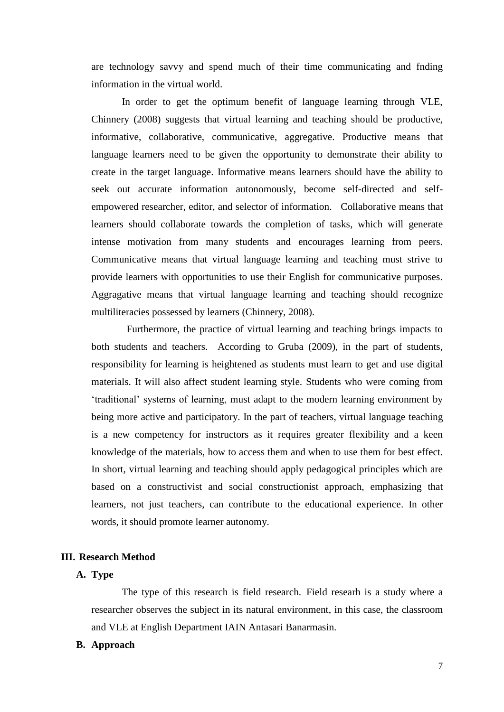are technology savvy and spend much of their time communicating and fnding information in the virtual world.

In order to get the optimum benefit of language learning through VLE, Chinnery (2008) suggests that virtual learning and teaching should be productive, informative, collaborative, communicative, aggregative. Productive means that language learners need to be given the opportunity to demonstrate their ability to create in the target language. Informative means learners should have the ability to seek out accurate information autonomously, become self-directed and selfempowered researcher, editor, and selector of information. Collaborative means that learners should collaborate towards the completion of tasks, which will generate intense motivation from many students and encourages learning from peers. Communicative means that virtual language learning and teaching must strive to provide learners with opportunities to use their English for communicative purposes. Aggragative means that virtual language learning and teaching should recognize multiliteracies possessed by learners (Chinnery, 2008).

Furthermore, the practice of virtual learning and teaching brings impacts to both students and teachers. According to Gruba (2009), in the part of students, responsibility for learning is heightened as students must learn to get and use digital materials. It will also affect student learning style. Students who were coming from "traditional" systems of learning, must adapt to the modern learning environment by being more active and participatory. In the part of teachers, virtual language teaching is a new competency for instructors as it requires greater flexibility and a keen knowledge of the materials, how to access them and when to use them for best effect. In short, virtual learning and teaching should apply pedagogical principles which are based on a [constructivist](http://en.wikipedia.org/wiki/Constructivism_(pedagogical)) and [social constructionist](http://en.wikipedia.org/wiki/Social_constructionism) approach, emphasizing that learners, not just teachers, can contribute to the educational experience. In other words, it should promote learner autonomy.

## **III. Research Method**

# **A. Type**

The type of this research is field research. Field researh is a study where a researcher observes the subject in its natural environment, in this case, the classroom and VLE at English Department IAIN Antasari Banarmasin.

### **B. Approach**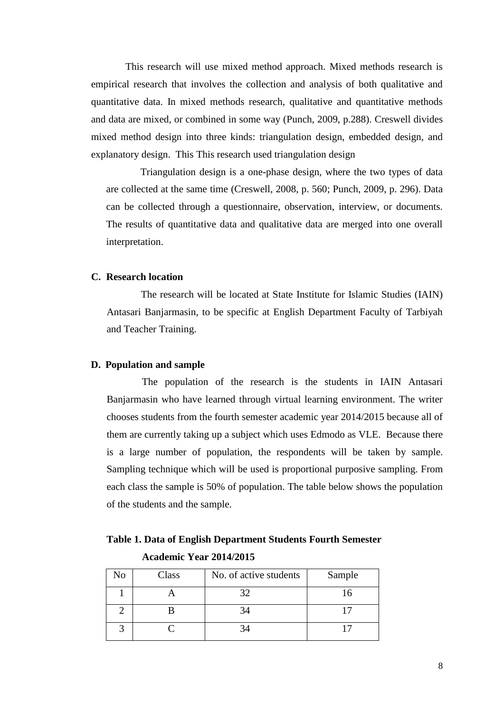This research will use mixed method approach. Mixed methods research is empirical research that involves the collection and analysis of both qualitative and quantitative data. In mixed methods research, qualitative and quantitative methods and data are mixed, or combined in some way (Punch, 2009, p.288). Creswell divides mixed method design into three kinds: triangulation design, embedded design, and explanatory design. This This research used triangulation design

Triangulation design is a one-phase design, where the two types of data are collected at the same time (Creswell, 2008, p. 560; Punch, 2009, p. 296). Data can be collected through a questionnaire, observation, interview, or documents. The results of quantitative data and qualitative data are merged into one overall interpretation.

## **C. Research location**

The research will be located at State Institute for Islamic Studies (IAIN) Antasari Banjarmasin, to be specific at English Department Faculty of Tarbiyah and Teacher Training.

### **D. Population and sample**

The population of the research is the students in IAIN Antasari Banjarmasin who have learned through virtual learning environment. The writer chooses students from the fourth semester academic year 2014/2015 because all of them are currently taking up a subject which uses Edmodo as VLE. Because there is a large number of population, the respondents will be taken by sample. Sampling technique which will be used is proportional purposive sampling. From each class the sample is 50% of population. The table below shows the population of the students and the sample.

**Table 1. Data of English Department Students Fourth Semester Academic Year 2014/2015**

| No | Class | No. of active students | Sample |
|----|-------|------------------------|--------|
|    |       | 37                     |        |
|    |       | 34                     |        |
|    |       |                        |        |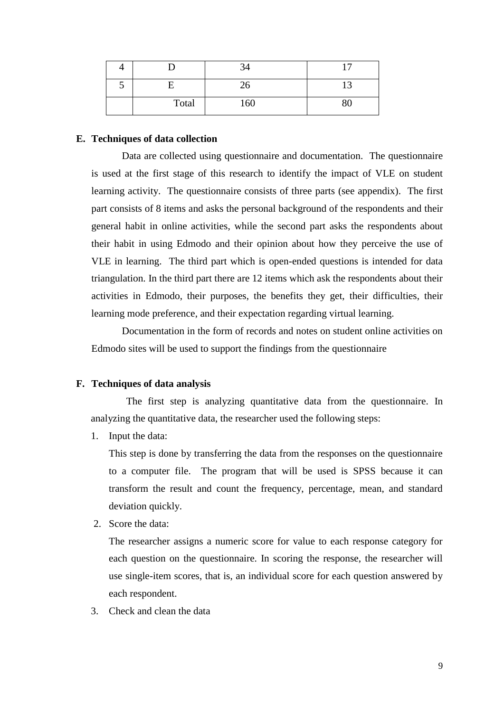|   |       | $\sim$<br>-24 |    |
|---|-------|---------------|----|
| J |       | 26            |    |
|   | Total | 160           | 80 |

#### **E. Techniques of data collection**

Data are collected using questionnaire and documentation. The questionnaire is used at the first stage of this research to identify the impact of VLE on student learning activity. The questionnaire consists of three parts (see appendix). The first part consists of 8 items and asks the personal background of the respondents and their general habit in online activities, while the second part asks the respondents about their habit in using Edmodo and their opinion about how they perceive the use of VLE in learning. The third part which is open-ended questions is intended for data triangulation. In the third part there are 12 items which ask the respondents about their activities in Edmodo, their purposes, the benefits they get, their difficulties, their learning mode preference, and their expectation regarding virtual learning.

Documentation in the form of records and notes on student online activities on Edmodo sites will be used to support the findings from the questionnaire

## **F. Techniques of data analysis**

The first step is analyzing quantitative data from the questionnaire. In analyzing the quantitative data, the researcher used the following steps:

1. Input the data:

This step is done by transferring the data from the responses on the questionnaire to a computer file. The program that will be used is SPSS because it can transform the result and count the frequency, percentage, mean, and standard deviation quickly.

2. Score the data:

The researcher assigns a numeric score for value to each response category for each question on the questionnaire. In scoring the response, the researcher will use single-item scores, that is, an individual score for each question answered by each respondent.

3. Check and clean the data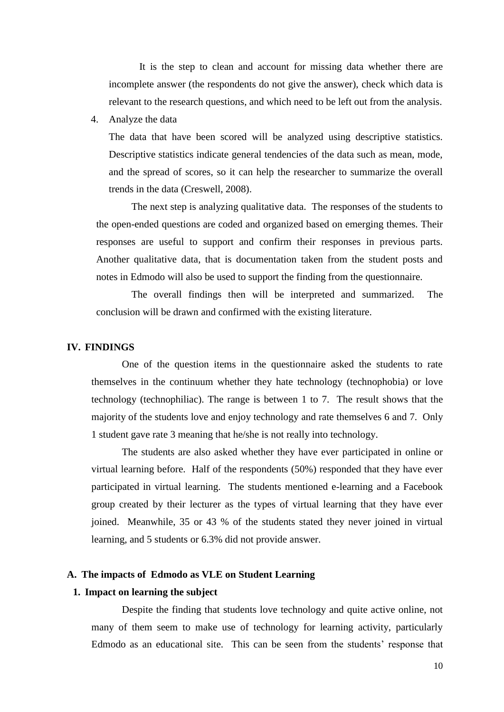It is the step to clean and account for missing data whether there are incomplete answer (the respondents do not give the answer), check which data is relevant to the research questions, and which need to be left out from the analysis.

4. Analyze the data

The data that have been scored will be analyzed using descriptive statistics. Descriptive statistics indicate general tendencies of the data such as mean, mode, and the spread of scores, so it can help the researcher to summarize the overall trends in the data (Creswell, 2008).

The next step is analyzing qualitative data. The responses of the students to the open-ended questions are coded and organized based on emerging themes. Their responses are useful to support and confirm their responses in previous parts. Another qualitative data, that is documentation taken from the student posts and notes in Edmodo will also be used to support the finding from the questionnaire.

The overall findings then will be interpreted and summarized. The conclusion will be drawn and confirmed with the existing literature.

## **IV. FINDINGS**

One of the question items in the questionnaire asked the students to rate themselves in the continuum whether they hate technology (technophobia) or love technology (technophiliac). The range is between 1 to 7. The result shows that the majority of the students love and enjoy technology and rate themselves 6 and 7. Only 1 student gave rate 3 meaning that he/she is not really into technology.

The students are also asked whether they have ever participated in online or virtual learning before. Half of the respondents (50%) responded that they have ever participated in virtual learning. The students mentioned e-learning and a Facebook group created by their lecturer as the types of virtual learning that they have ever joined. Meanwhile, 35 or 43 % of the students stated they never joined in virtual learning, and 5 students or 6.3% did not provide answer.

## **A. The impacts of Edmodo as VLE on Student Learning**

#### **1. Impact on learning the subject**

Despite the finding that students love technology and quite active online, not many of them seem to make use of technology for learning activity, particularly Edmodo as an educational site. This can be seen from the students' response that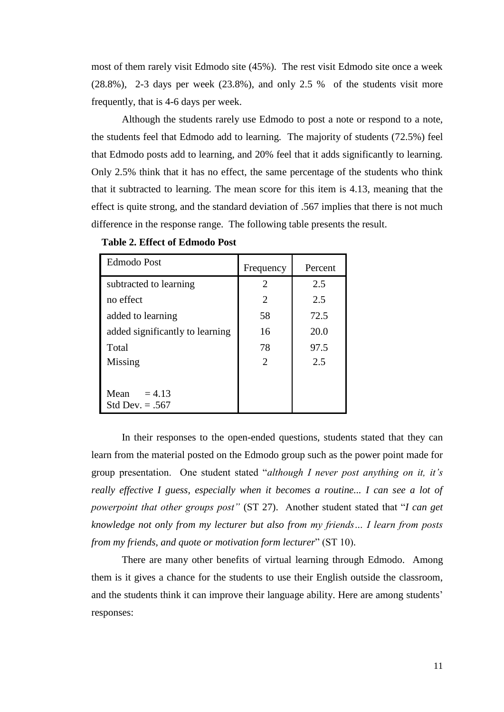most of them rarely visit Edmodo site (45%). The rest visit Edmodo site once a week (28.8%), 2-3 days per week (23.8%), and only 2.5 % of the students visit more frequently, that is 4-6 days per week.

Although the students rarely use Edmodo to post a note or respond to a note, the students feel that Edmodo add to learning. The majority of students (72.5%) feel that Edmodo posts add to learning, and 20% feel that it adds significantly to learning. Only 2.5% think that it has no effect, the same percentage of the students who think that it subtracted to learning. The mean score for this item is 4.13, meaning that the effect is quite strong, and the standard deviation of .567 implies that there is not much difference in the response range. The following table presents the result.

| <b>Edmodo Post</b>                    | Frequency                   | Percent |
|---------------------------------------|-----------------------------|---------|
| subtracted to learning                | $\overline{2}$              | 2.5     |
| no effect                             | 2                           | 2.5     |
| added to learning                     | 58                          | 72.5    |
| added significantly to learning       | 16                          | 20.0    |
| Total                                 | 78                          | 97.5    |
| Missing                               | $\mathcal{D}_{\mathcal{L}}$ | 2.5     |
|                                       |                             |         |
| Mean<br>$= 4.13$<br>Std Dev. $= .567$ |                             |         |

In their responses to the open-ended questions, students stated that they can learn from the material posted on the Edmodo group such as the power point made for group presentation. One student stated "*although I never post anything on it, it's really effective I guess, especially when it becomes a routine... I can see a lot of powerpoint that other groups post"* (ST 27). Another student stated that "*I can get knowledge not only from my lecturer but also from my friends… I learn from posts from my friends, and quote or motivation form lecturer*" (ST 10).

There are many other benefits of virtual learning through Edmodo. Among them is it gives a chance for the students to use their English outside the classroom, and the students think it can improve their language ability. Here are among students' responses: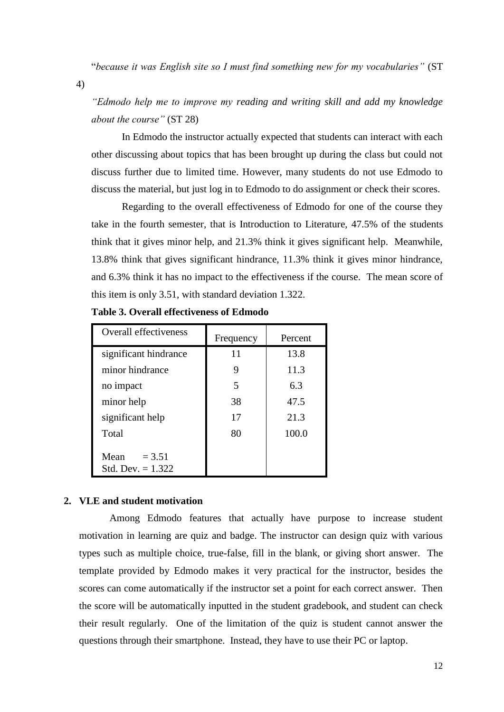"*because it was English site so I must find something new for my vocabularies"* (ST

4)

*"Edmodo help me to improve my reading and writing skill and add my knowledge about the course"* (ST 28)

In Edmodo the instructor actually expected that students can interact with each other discussing about topics that has been brought up during the class but could not discuss further due to limited time. However, many students do not use Edmodo to discuss the material, but just log in to Edmodo to do assignment or check their scores.

Regarding to the overall effectiveness of Edmodo for one of the course they take in the fourth semester, that is Introduction to Literature, 47.5% of the students think that it gives minor help, and 21.3% think it gives significant help. Meanwhile, 13.8% think that gives significant hindrance, 11.3% think it gives minor hindrance, and 6.3% think it has no impact to the effectiveness if the course. The mean score of this item is only 3.51, with standard deviation 1.322.

| <b>Overall effectiveness</b>            | Frequency | Percent |
|-----------------------------------------|-----------|---------|
| significant hindrance                   | 11        | 13.8    |
| minor hindrance                         | 9         | 11.3    |
| no impact                               | 5         | 6.3     |
| minor help                              | 38        | 47.5    |
| significant help                        | 17        | 21.3    |
| Total                                   | 80        | 100.0   |
| Mean<br>$= 3.51$<br>Std. Dev. $= 1.322$ |           |         |

**Table 3. Overall effectiveness of Edmodo** 

### **2. VLE and student motivation**

Among Edmodo features that actually have purpose to increase student motivation in learning are quiz and badge. The instructor can design quiz with various types such as multiple choice, true-false, fill in the blank, or giving short answer. The template provided by Edmodo makes it very practical for the instructor, besides the scores can come automatically if the instructor set a point for each correct answer. Then the score will be automatically inputted in the student gradebook, and student can check their result regularly. One of the limitation of the quiz is student cannot answer the questions through their smartphone. Instead, they have to use their PC or laptop.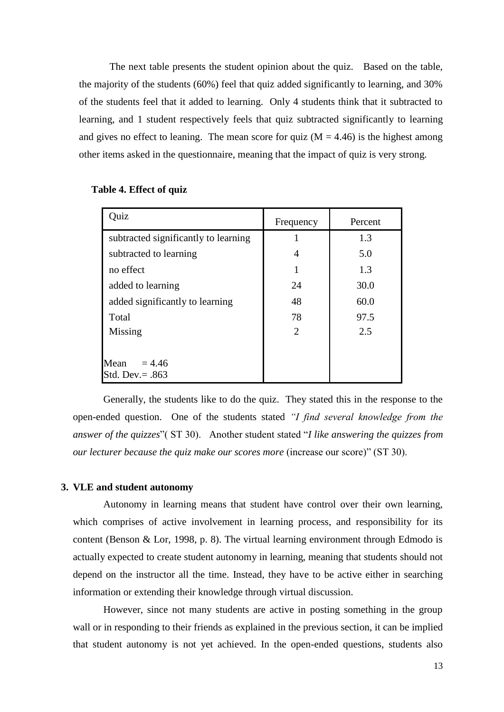The next table presents the student opinion about the quiz. Based on the table, the majority of the students (60%) feel that quiz added significantly to learning, and 30% of the students feel that it added to learning. Only 4 students think that it subtracted to learning, and 1 student respectively feels that quiz subtracted significantly to learning and gives no effect to leaning. The mean score for quiz  $(M = 4.46)$  is the highest among other items asked in the questionnaire, meaning that the impact of quiz is very strong.

| Quiz                                 | Frequency | Percent |
|--------------------------------------|-----------|---------|
| subtracted significantly to learning |           | 1.3     |
| subtracted to learning               |           | 5.0     |
| no effect                            | 1         | 1.3     |
| added to learning                    | 24        | 30.0    |
| added significantly to learning      | 48        | 60.0    |
| Total                                | 78        | 97.5    |
| Missing                              | 2         | 2.5     |
|                                      |           |         |
| Mean<br>$= 4.46$                     |           |         |
| Std. Dev. $= .863$                   |           |         |

#### **Table 4. Effect of quiz**

Generally, the students like to do the quiz. They stated this in the response to the open-ended question. One of the students stated *"I find several knowledge from the answer of the quizzes*"( ST 30). Another student stated "*I like answering the quizzes from our lecturer because the quiz make our scores more* (increase our score)" (ST 30).

## **3. VLE and student autonomy**

Autonomy in learning means that student have control over their own learning, which comprises of active involvement in learning process, and responsibility for its content (Benson & Lor, 1998, p. 8). The virtual learning environment through Edmodo is actually expected to create student autonomy in learning, meaning that students should not depend on the instructor all the time. Instead, they have to be active either in searching information or extending their knowledge through virtual discussion.

However, since not many students are active in posting something in the group wall or in responding to their friends as explained in the previous section, it can be implied that student autonomy is not yet achieved. In the open-ended questions, students also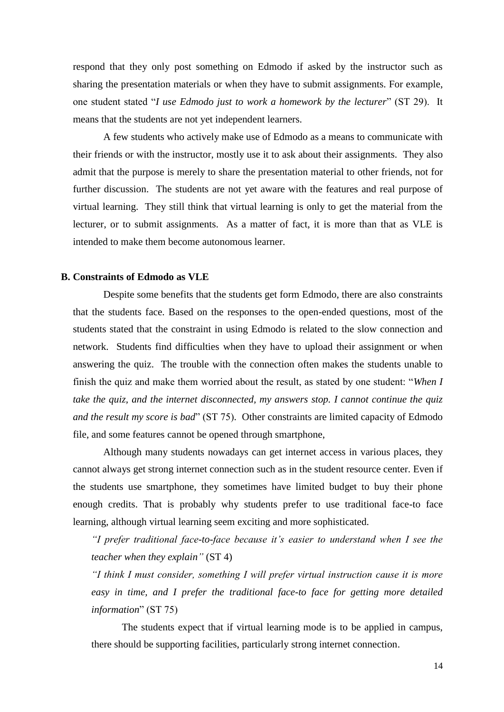respond that they only post something on Edmodo if asked by the instructor such as sharing the presentation materials or when they have to submit assignments. For example, one student stated "*I use Edmodo just to work a homework by the lecturer*" (ST 29). It means that the students are not yet independent learners.

A few students who actively make use of Edmodo as a means to communicate with their friends or with the instructor, mostly use it to ask about their assignments. They also admit that the purpose is merely to share the presentation material to other friends, not for further discussion. The students are not yet aware with the features and real purpose of virtual learning. They still think that virtual learning is only to get the material from the lecturer, or to submit assignments. As a matter of fact, it is more than that as VLE is intended to make them become autonomous learner.

## **B. Constraints of Edmodo as VLE**

Despite some benefits that the students get form Edmodo, there are also constraints that the students face. Based on the responses to the open-ended questions, most of the students stated that the constraint in using Edmodo is related to the slow connection and network. Students find difficulties when they have to upload their assignment or when answering the quiz. The trouble with the connection often makes the students unable to finish the quiz and make them worried about the result, as stated by one student: "*When I take the quiz, and the internet disconnected, my answers stop. I cannot continue the quiz and the result my score is bad*" (ST 75). Other constraints are limited capacity of Edmodo file, and some features cannot be opened through smartphone,

Although many students nowadays can get internet access in various places, they cannot always get strong internet connection such as in the student resource center. Even if the students use smartphone, they sometimes have limited budget to buy their phone enough credits. That is probably why students prefer to use traditional face-to face learning, although virtual learning seem exciting and more sophisticated.

*"I prefer traditional face-to-face because it's easier to understand when I see the teacher when they explain"* (ST 4)

*"I think I must consider, something I will prefer virtual instruction cause it is more easy in time, and I prefer the traditional face-to face for getting more detailed information*" (ST 75)

The students expect that if virtual learning mode is to be applied in campus, there should be supporting facilities, particularly strong internet connection.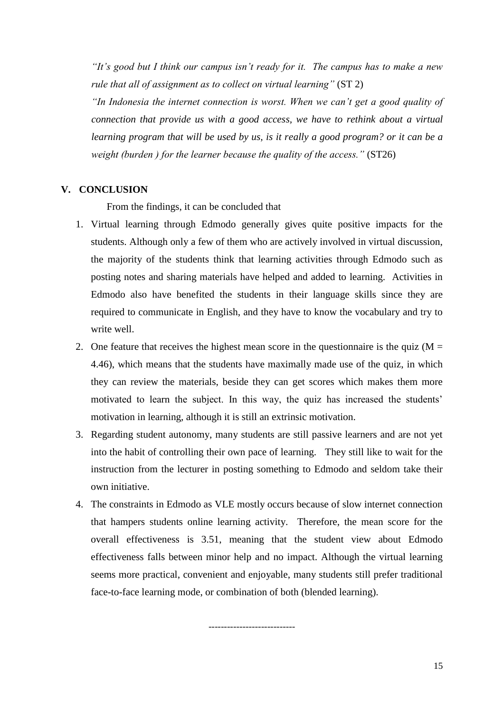*"It's good but I think our campus isn't ready for it. The campus has to make a new rule that all of assignment as to collect on virtual learning"* (ST 2)

*"In Indonesia the internet connection is worst. When we can't get a good quality of connection that provide us with a good access, we have to rethink about a virtual learning program that will be used by us, is it really a good program? or it can be a weight (burden ) for the learner because the quality of the access."* (ST26)

# **V. CONCLUSION**

From the findings, it can be concluded that

- 1. Virtual learning through Edmodo generally gives quite positive impacts for the students. Although only a few of them who are actively involved in virtual discussion, the majority of the students think that learning activities through Edmodo such as posting notes and sharing materials have helped and added to learning. Activities in Edmodo also have benefited the students in their language skills since they are required to communicate in English, and they have to know the vocabulary and try to write well.
- 2. One feature that receives the highest mean score in the questionnaire is the quiz  $(M =$ 4.46), which means that the students have maximally made use of the quiz, in which they can review the materials, beside they can get scores which makes them more motivated to learn the subject. In this way, the quiz has increased the students' motivation in learning, although it is still an extrinsic motivation.
- 3. Regarding student autonomy, many students are still passive learners and are not yet into the habit of controlling their own pace of learning. They still like to wait for the instruction from the lecturer in posting something to Edmodo and seldom take their own initiative.
- 4. The constraints in Edmodo as VLE mostly occurs because of slow internet connection that hampers students online learning activity. Therefore, the mean score for the overall effectiveness is 3.51, meaning that the student view about Edmodo effectiveness falls between minor help and no impact. Although the virtual learning seems more practical, convenient and enjoyable, many students still prefer traditional face-to-face learning mode, or combination of both (blended learning).

----------------------------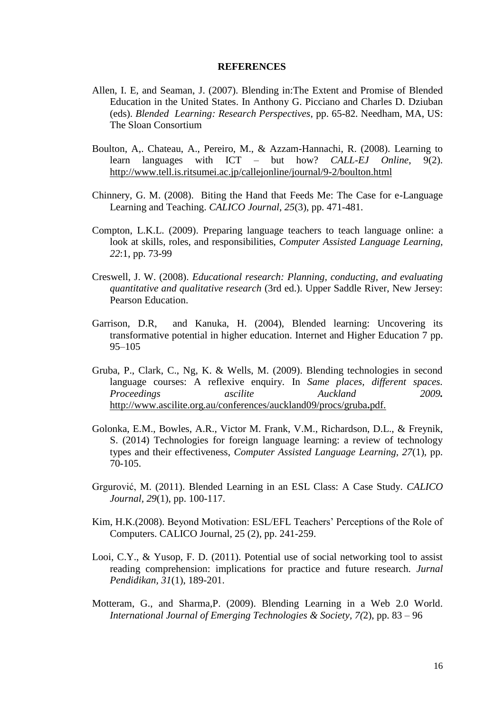#### **REFERENCES**

- Allen, I. E, and Seaman, J. (2007). Blending in:The Extent and Promise of Blended Education in the United States. In Anthony G. Picciano and Charles D. Dziuban (eds). *Blended Learning: Research Perspectives*, pp. 65-82. Needham, MA, US: The Sloan Consortium
- Boulton, A,. Chateau, A., Pereiro, M., & Azzam-Hannachi, R. (2008). Learning to learn languages with ICT – but how? *CALL-EJ Online*, 9(2). <http://www.tell.is.ritsumei.ac.jp/callejonline/journal/9-2/boulton.html>
- Chinnery, G. M. (2008). Biting the Hand that Feeds Me: The Case for e-Language Learning and Teaching. *CALICO Journal*, *25*(3), pp. 471-481.
- Compton, L.K.L. (2009). Preparing language teachers to teach language online: a look at skills, roles, and responsibilities, *Computer Assisted Language Learning, 22*:1, pp. 73-99
- Creswell, J. W. (2008). *Educational research: Planning, conducting, and evaluating quantitative and qualitative research* (3rd ed.). Upper Saddle River, New Jersey: Pearson Education.
- Garrison, D.R, and Kanuka, H. (2004), Blended learning: Uncovering its transformative potential in higher education. Internet and Higher Education 7 pp. 95–105
- Gruba, P., Clark, C., Ng, K. & Wells, M. (2009). Blending technologies in second language courses: A reflexive enquiry*.* In *Same places, different spaces. Proceedings ascilite Auckland* 2009*.* [http://www.ascilite.org.au/conferences/auckland09/procs/gruba](http://www.ascilite.org.au/conferences/auckland09/procs/gruba.pdf.)**.**pdf.
- Golonka, E.M., Bowles, A.R., Victor M. Frank, V.M., Richardson, D.L., & Freynik, S. (2014) Technologies for foreign language learning: a review of technology types and their effectiveness, *Computer Assisted Language Learning, 27*(1), pp. 70-105.
- Grgurović, M. (2011). Blended Learning in an ESL Class: A Case Study*. CALICO Journal, 29*(1), pp. 100-117.
- Kim, H.K.(2008). Beyond Motivation: ESL/EFL Teachers' Perceptions of the Role of Computers. CALICO Journal, 25 (2), pp. 241-259.
- Looi, C.Y., & Yusop, F. D. (2011). Potential use of social networking tool to assist reading comprehension: implications for practice and future research. *Jurnal Pendidikan, 31*(1), 189-201.
- Motteram, G., and Sharma,P. (2009). Blending Learning in a Web 2.0 World. *International Journal of Emerging Technologies & Society, 7(*2), pp. 83 – 96